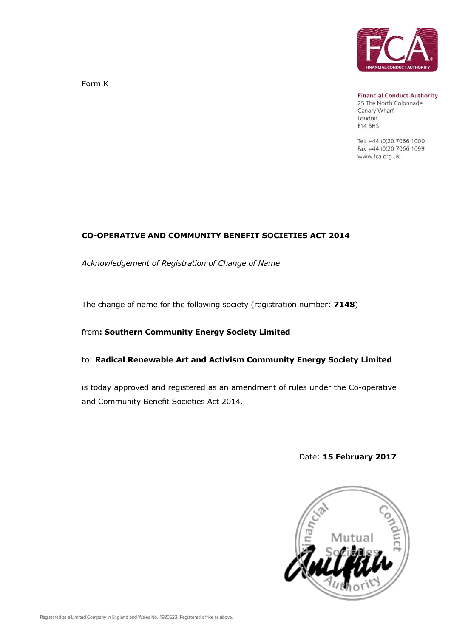

Form K

**Financial Conduct Authority** 

25 The North Colonnade Canary Wharf London E14 5HS

Tel: +44 (0)20 7066 1000 Fax: +44 (0)20 7066 1099 www.fca.org.uk

#### **CO-OPERATIVE AND COMMUNITY BENEFIT SOCIETIES ACT 2014**

*Acknowledgement of Registration of Change of Name*

The change of name for the following society (registration number: **7148**)

### from**: Southern Community Energy Society Limited**

#### to: **Radical Renewable Art and Activism Community Energy Society Limited**

is today approved and registered as an amendment of rules under the Co-operative and Community Benefit Societies Act 2014.

### Date: **15 February 2017**

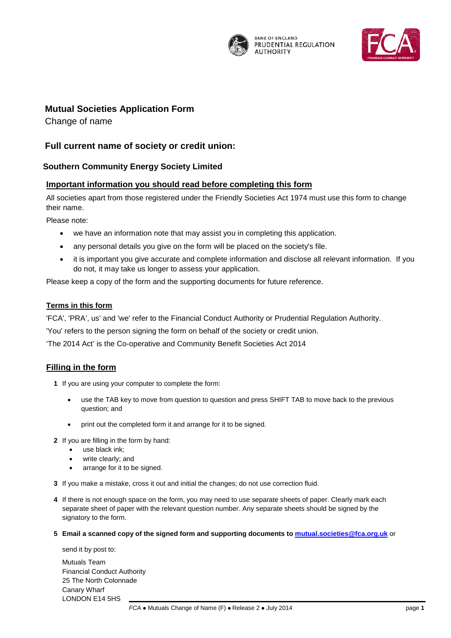

**BANK OF ENGLAND** PRUDENTIAL REGULATION **AUTHORITY** 



# **Societies Application Form Mutual Societies Application Form**

Change of name

## **Full current name of society or credit union:**

#### **Southern Community Energy Society Limited**

#### **Important information you should read before completing this form**

All societies apart from those registered under the Friendly Societies Act 1974 must use this form to change their name.

Please note:

- we have an information note that may assist you in completing this application.
- any personal details you give on the form will be placed on the society's file.
- it is important you give accurate and complete information and disclose all relevant information. If you do not, it may take us longer to assess your application.

Please keep a copy of the form and the supporting documents for future reference.

#### **Terms in this form**

'FCA', 'PRA', us' and 'we' refer to the Financial Conduct Authority or Prudential Regulation Authority.

'You' refers to the person signing the form on behalf of the society or credit union.

'The 2014 Act' is the Co-operative and Community Benefit Societies Act 2014

#### **Filling in the form**

- **1** If you are using your computer to complete the form:
	- use the TAB key to move from question to question and press SHIFT TAB to move back to the previous question; and
	- print out the completed form it and arrange for it to be signed.
- **2** If you are filling in the form by hand:
	- use black ink;
	- write clearly; and
	- arrange for it to be signed.
- **3** If you make a mistake, cross it out and initial the changes; do not use correction fluid.
- **4** If there is not enough space on the form, you may need to use separate sheets of paper. Clearly mark each separate sheet of paper with the relevant question number. Any separate sheets should be signed by the signatory to the form.
- **5 Email a scanned copy of the signed form and supporting documents to [mutual.societies@fca.org.uk](mailto:mutual.societies@fca.org.uk)** or

send it by post to:

Mutuals Team Financial Conduct Authority 25 The North Colonnade Canary Wharf LONDON E14 5HS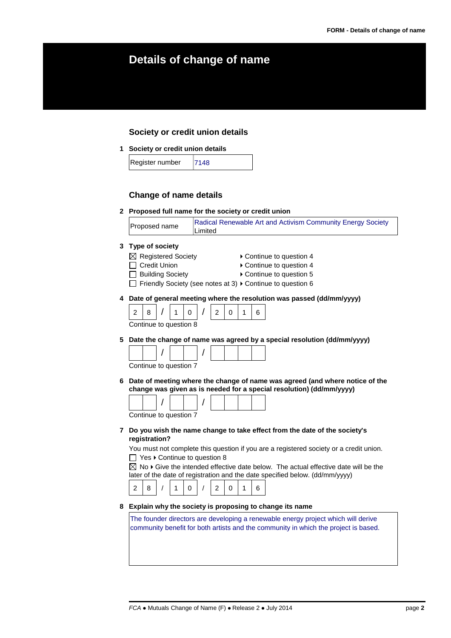# **Details of change of name**

#### **Society or credit union details**

**1 Society or credit union details**

| Register number | 7148 |
|-----------------|------|
|                 |      |

#### **Change of name details**

**2 Proposed full name for the society or credit union**



#### **3 Type of society**

- 
- $\boxtimes$  Registered Society  $\longrightarrow$  Continue to question 4
- □ Credit Union <br>
→ Continue to question 4
- □ Building Society **Detail Follow** Continue to question 5
- $\Box$  Friendly Society (see notes at 3)  $\triangleright$  Continue to question 6
- **4 Date of general meeting where the resolution was passed (dd/mm/yyyy)**

2 8 / 1 0 / 2 0 1 6 Continue to question 8

**5 Date the change of name was agreed by a special resolution (dd/mm/yyyy)**

| Continue to question 7 |  |  |  |  |
|------------------------|--|--|--|--|

**6 Date of meeting where the change of name was agreed (and where notice of the change was given as is needed for a special resolution) (dd/mm/yyyy)**

Continue to question 7

**7 Do you wish the name change to take effect from the date of the society's registration?**

You must not complete this question if you are a registered society or a credit union.  $\Box$  Yes  $\blacktriangleright$  Continue to question 8

 $\boxtimes$  No  $\blacktriangleright$  Give the intended effective date below. The actual effective date will be the later of the date of registration and the date specified below. (dd/mm/yyyy)

|--|--|

#### **8 Explain why the society is proposing to change its name**

The founder directors are developing a renewable energy project which will derive community benefit for both artists and the community in which the project is based.